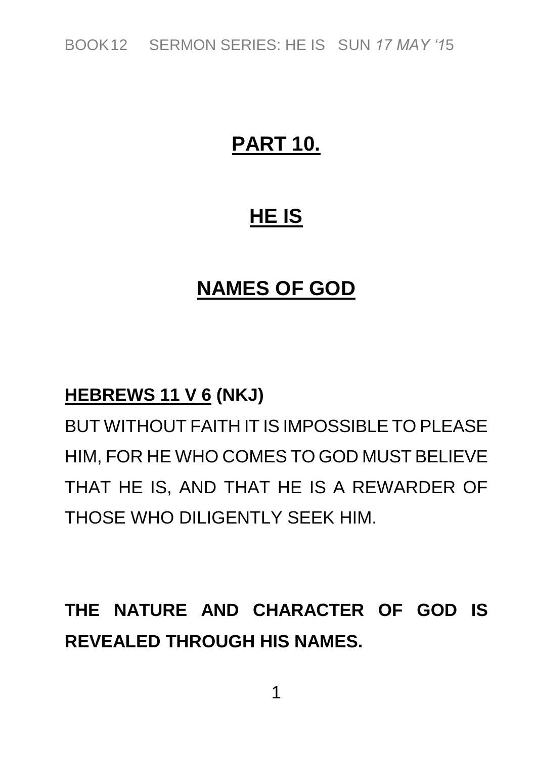### **PART 10.**

### **HE IS**

#### **NAMES OF GOD**

#### **HEBREWS 11 V 6 (NKJ)**

*BUT WITHOUT FAITH IT IS IMPOSSIBLE TO PLEASE HIM, FOR HE WHO COMES TO GOD MUST BELIEVE THAT HE IS, AND THAT HE IS A REWARDER OF THOSE WHO DILIGENTLY SEEK HIM.*

# **THE NATURE AND CHARACTER OF GOD IS REVEALED THROUGH HIS NAMES.**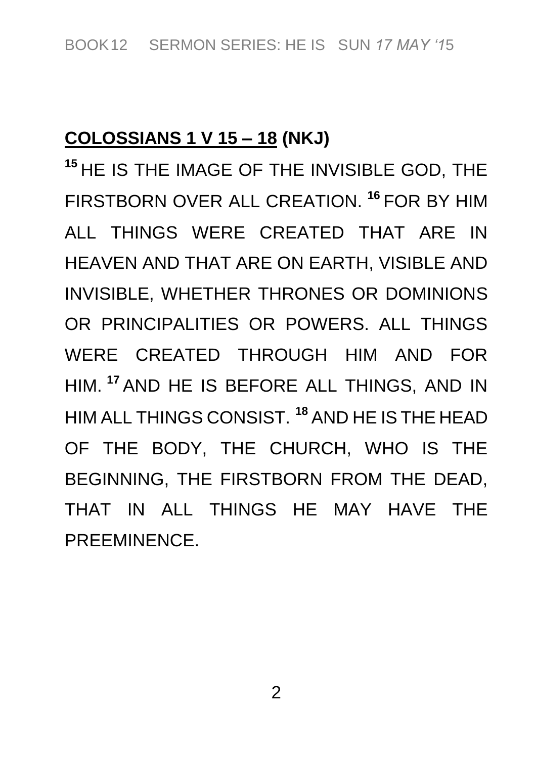#### **COLOSSIANS 1 V 15 – 18 (NKJ)**

**<sup>15</sup>** *HE IS THE IMAGE OF THE INVISIBLE GOD, THE FIRSTBORN OVER ALL CREATION.* **<sup>16</sup>** *FOR BY HIM ALL THINGS WERE CREATED THAT ARE IN HEAVEN AND THAT ARE ON EARTH, VISIBLE AND INVISIBLE, WHETHER THRONES OR DOMINIONS OR PRINCIPALITIES OR POWERS. ALL THINGS WERE CREATED THROUGH HIM AND FOR HIM.* **<sup>17</sup>** *AND HE IS BEFORE ALL THINGS, AND IN HIM ALL THINGS CONSIST.* **<sup>18</sup>** *AND HE IS THE HEAD OF THE BODY, THE CHURCH, WHO IS THE BEGINNING, THE FIRSTBORN FROM THE DEAD, THAT IN ALL THINGS HE MAY HAVE THE PREEMINENCE.*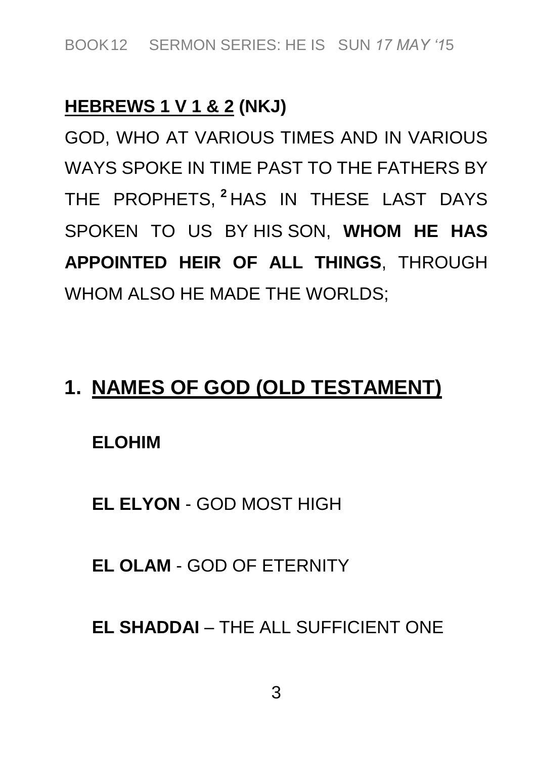#### **HEBREWS 1 V 1 & 2 (NKJ)**

*GOD, WHO AT VARIOUS TIMES AND IN VARIOUS WAYS SPOKE IN TIME PAST TO THE FATHERS BY THE PROPHETS,* **<sup>2</sup>** *HAS IN THESE LAST DAYS SPOKEN TO US BY HIS SON,* **WHOM HE HAS APPOINTED HEIR OF ALL THINGS***, THROUGH WHOM ALSO HE MADE THE WORLDS;*

#### **1. NAMES OF GOD (OLD TESTAMENT)**

**ELOHIM**

**EL ELYON** *- GOD MOST HIGH*

**EL OLAM** *- GOD OF ETERNITY*

**EL SHADDAI** *– THE ALL SUFFICIENT ONE*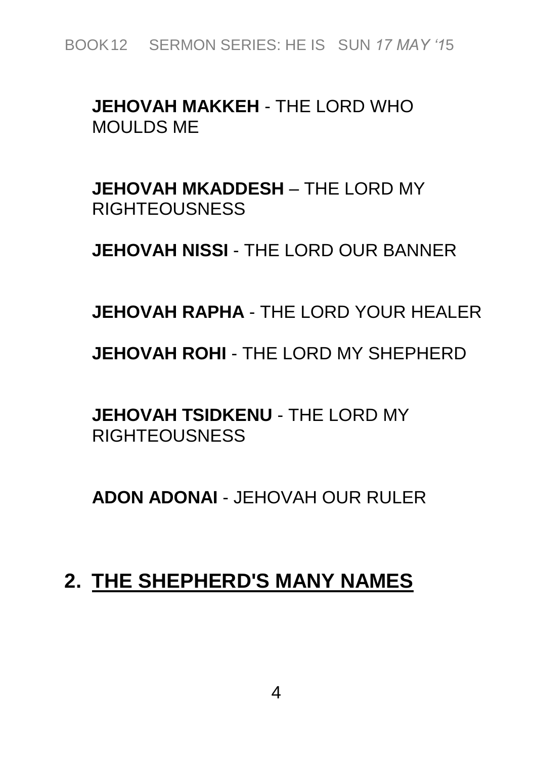#### **JEHOVAH MAKKEH** *- THE LORD WHO MOULDS ME*

**JEHOVAH MKADDESH** *– THE LORD MY RIGHTEOUSNESS*

**JEHOVAH NISSI** *- THE LORD OUR BANNER*

**JEHOVAH RAPHA** *- THE LORD YOUR HEALER*

**JEHOVAH ROHI** *- THE LORD MY SHEPHERD*

**JEHOVAH TSIDKENU** *- THE LORD MY RIGHTEOUSNESS*

**ADON ADONAI** *- JEHOVAH OUR RULER*

#### **2. THE SHEPHERD'S MANY NAMES**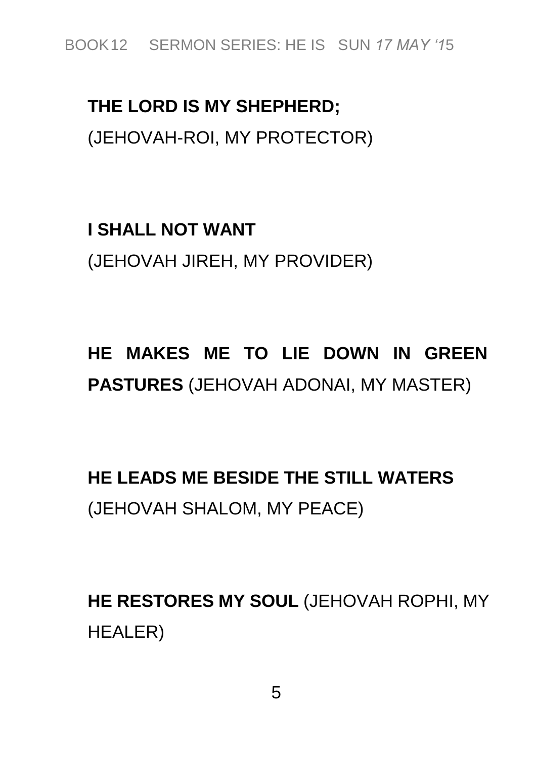### **THE LORD IS MY SHEPHERD;** *(JEHOVAH-ROI, MY PROTECTOR)*

## **I SHALL NOT WANT** *(JEHOVAH JIREH, MY PROVIDER)*

### **HE MAKES ME TO LIE DOWN IN GREEN PASTURES** *(JEHOVAH ADONAI, MY MASTER)*

**HE LEADS ME BESIDE THE STILL WATERS** *(JEHOVAH SHALOM, MY PEACE)*

**HE RESTORES MY SOUL** *(JEHOVAH ROPHI, MY HEALER)*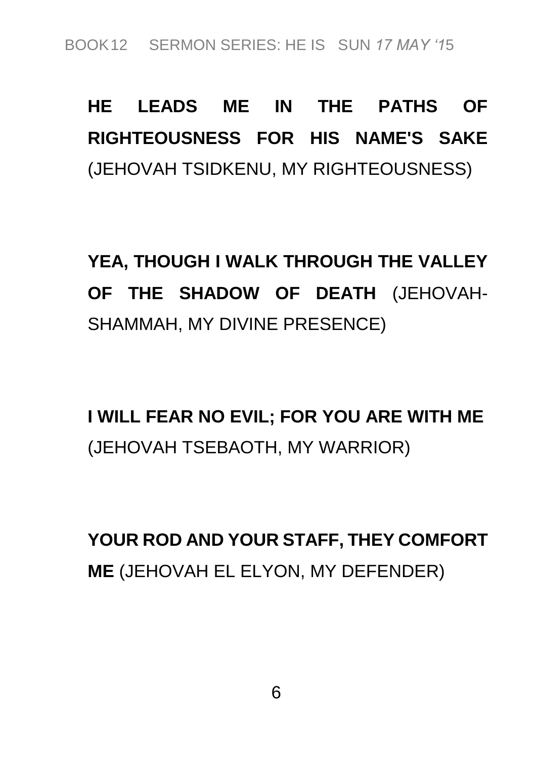# **HE LEADS ME IN THE PATHS OF RIGHTEOUSNESS FOR HIS NAME'S SAKE** *(JEHOVAH TSIDKENU, MY RIGHTEOUSNESS)*

**YEA, THOUGH I WALK THROUGH THE VALLEY OF THE SHADOW OF DEATH** *(JEHOVAH-SHAMMAH, MY DIVINE PRESENCE)*

**I WILL FEAR NO EVIL; FOR YOU ARE WITH ME** *(JEHOVAH TSEBAOTH, MY WARRIOR)*

**YOUR ROD AND YOUR STAFF, THEY COMFORT ME** *(JEHOVAH EL ELYON, MY DEFENDER)*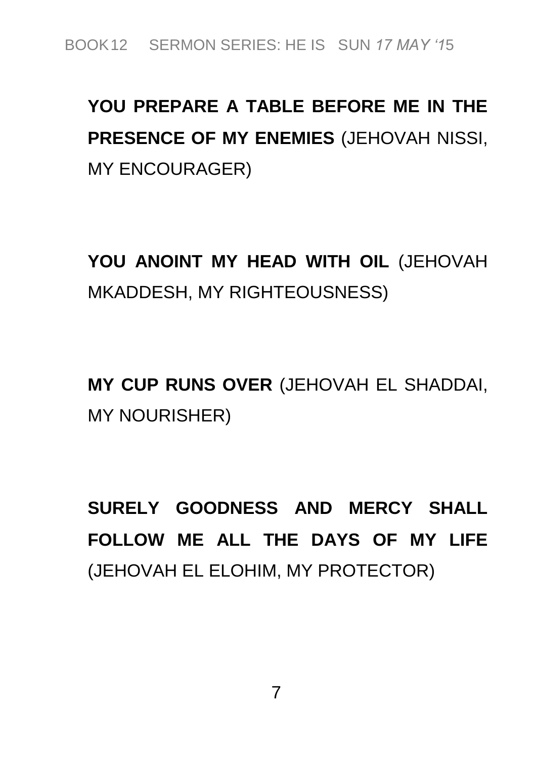# **YOU PREPARE A TABLE BEFORE ME IN THE PRESENCE OF MY ENEMIES** *(JEHOVAH NISSI, MY ENCOURAGER)*

**YOU ANOINT MY HEAD WITH OIL** *(JEHOVAH MKADDESH, MY RIGHTEOUSNESS)*

**MY CUP RUNS OVER** *(JEHOVAH EL SHADDAI, MY NOURISHER)*

**SURELY GOODNESS AND MERCY SHALL FOLLOW ME ALL THE DAYS OF MY LIFE** *(JEHOVAH EL ELOHIM, MY PROTECTOR)*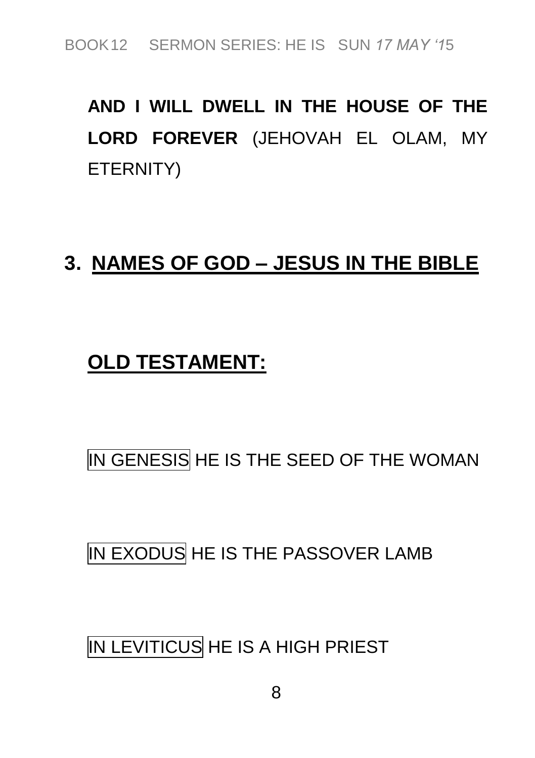# **AND I WILL DWELL IN THE HOUSE OF THE LORD FOREVER** *(JEHOVAH EL OLAM, MY ETERNITY)*

#### **3. NAMES OF GOD – JESUS IN THE BIBLE**

#### **OLD TESTAMENT:**

### *IN GENESIS HE IS THE SEED OF THE WOMAN*

#### *IN EXODUS HE IS THE PASSOVER LAMB*

#### *IN LEVITICUS HE IS A HIGH PRIEST*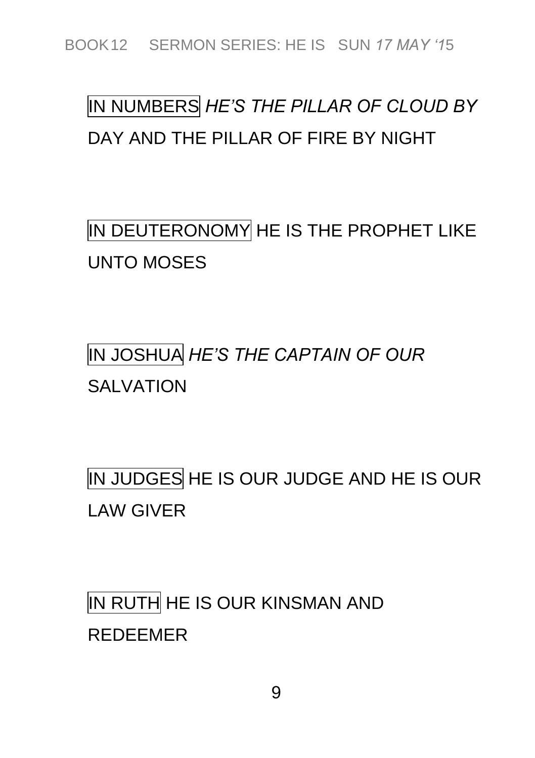# *IN NUMBERS HE'S THE PILLAR OF CLOUD BY DAY AND THE PILLAR OF FIRE BY NIGHT*

*IN DEUTERONOMY HE IS THE PROPHET LIKE UNTO MOSES*

# *IN JOSHUA HE'S THE CAPTAIN OF OUR SALVATION*

*IN JUDGES HE IS OUR JUDGE AND HE IS OUR LAW GIVER*

*IN RUTH HE IS OUR KINSMAN AND REDEEMER*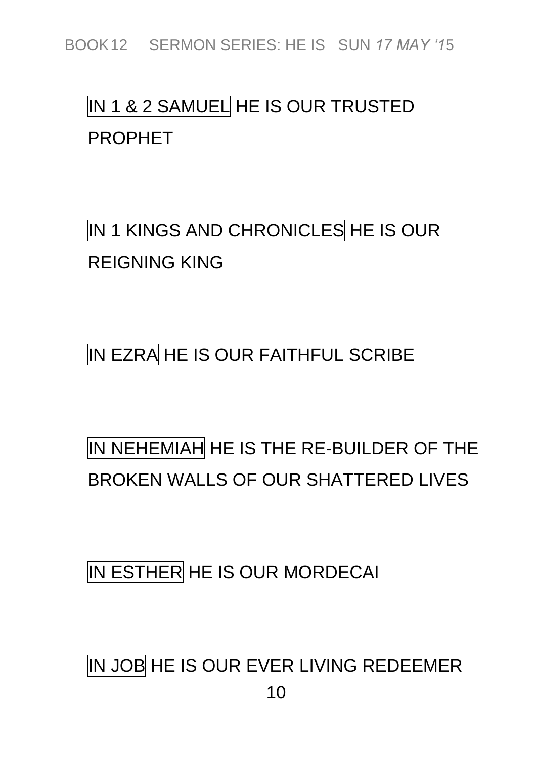### *IN 1 & 2 SAMUEL HE IS OUR TRUSTED PROPHET*

*IN 1 KINGS AND CHRONICLES HE IS OUR REIGNING KING*

*IN EZRA HE IS OUR FAITHFUL SCRIBE*

## *IN NEHEMIAH HE IS THE RE-BUILDER OF THE BROKEN WALLS OF OUR SHATTERED LIVES*

*IN ESTHER HE IS OUR MORDECAI*

*IN JOB HE IS OUR EVER LIVING REDEEMER*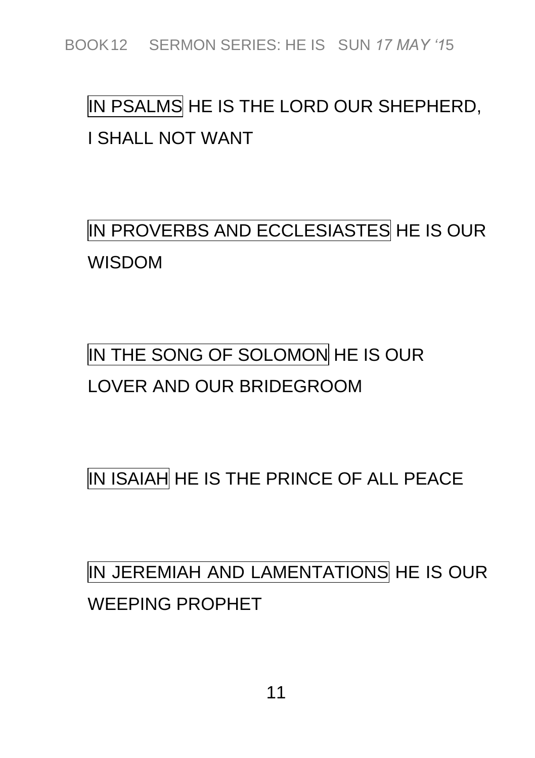# *IN PSALMS HE IS THE LORD OUR SHEPHERD, I SHALL NOT WANT*

*IN PROVERBS AND ECCLESIASTES HE IS OUR WISDOM*

# *IN THE SONG OF SOLOMON HE IS OUR LOVER AND OUR BRIDEGROOM*

*IN ISAIAH HE IS THE PRINCE OF ALL PEACE*

## *IN JEREMIAH AND LAMENTATIONS HE IS OUR WEEPING PROPHET*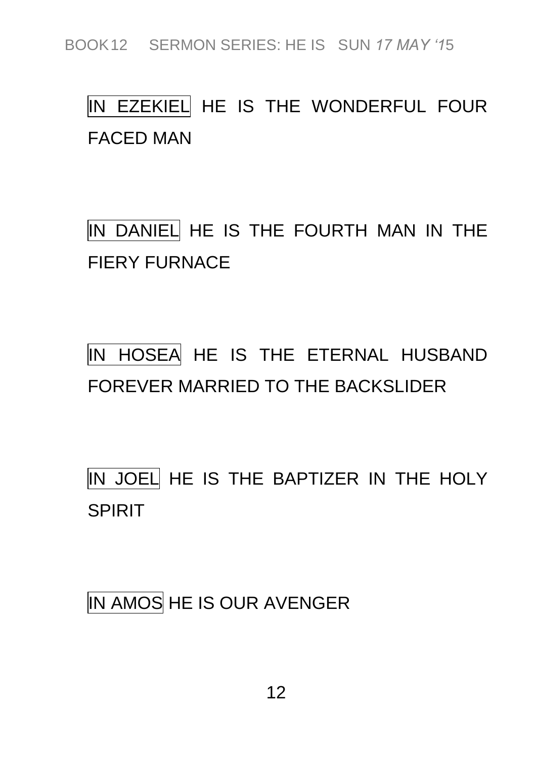## *IN EZEKIEL HE IS THE WONDERFUL FOUR FACED MAN*

*IN DANIEL HE IS THE FOURTH MAN IN THE FIERY FURNACE*

*IN HOSEA HE IS THE ETERNAL HUSBAND FOREVER MARRIED TO THE BACKSLIDER*

*IN JOEL HE IS THE BAPTIZER IN THE HOLY SPIRIT*

*IN AMOS HE IS OUR AVENGER*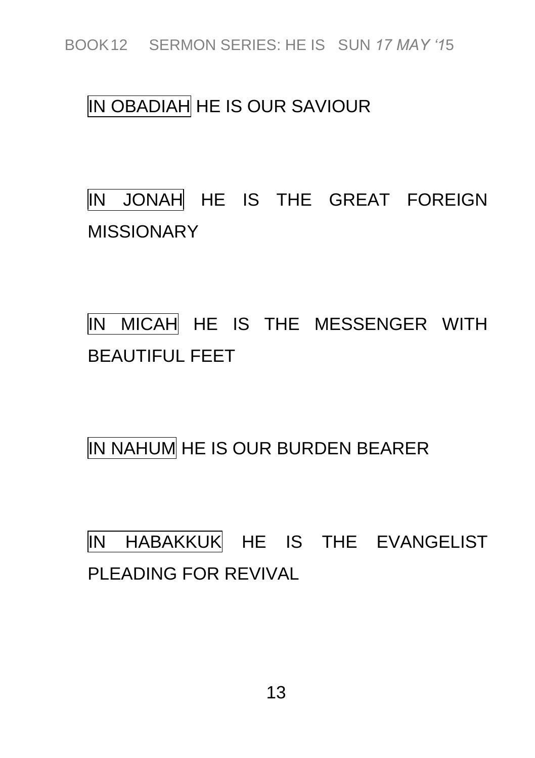#### *IN OBADIAH HE IS OUR SAVIOUR*

*IN JONAH HE IS THE GREAT FOREIGN MISSIONARY*

*IN MICAH HE IS THE MESSENGER WITH BEAUTIFUL FEET*

*IN NAHUM HE IS OUR BURDEN BEARER*

*IN HABAKKUK HE IS THE EVANGELIST PLEADING FOR REVIVAL*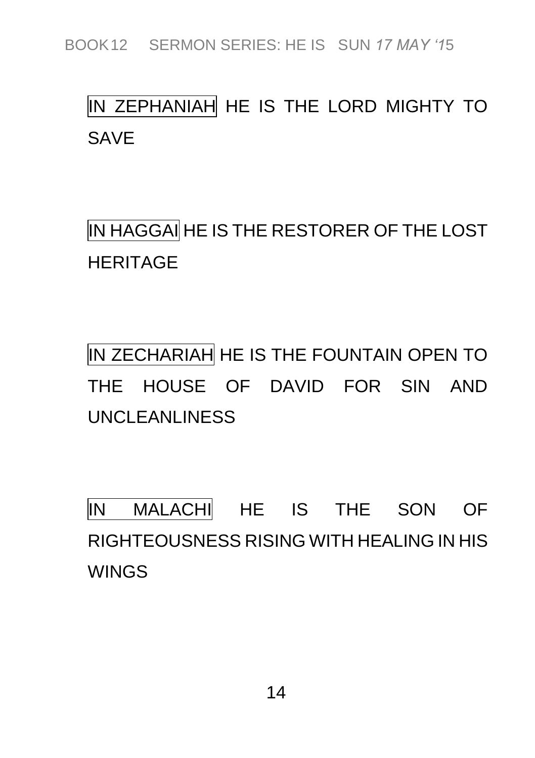### *IN ZEPHANIAH HE IS THE LORD MIGHTY TO SAVE*

*IN HAGGAI HE IS THE RESTORER OF THE LOST HERITAGE*

*IN ZECHARIAH HE IS THE FOUNTAIN OPEN TO THE HOUSE OF DAVID FOR SIN AND UNCLEANLINESS*

*IN MALACHI HE IS THE SON OF RIGHTEOUSNESS RISING WITH HEALING IN HIS WINGS*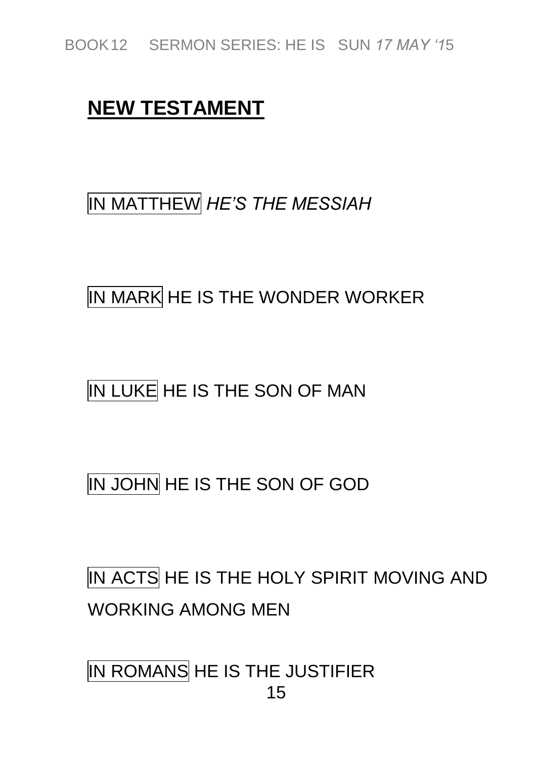#### **NEW TESTAMENT**

#### *IN MATTHEW HE'S THE MESSIAH*

#### *IN MARK HE IS THE WONDER WORKER*

#### *IN LUKE HE IS THE SON OF MAN*

#### *IN JOHN HE IS THE SON OF GOD*

# *IN ACTS HE IS THE HOLY SPIRIT MOVING AND WORKING AMONG MEN*

*15 IN ROMANS HE IS THE JUSTIFIER*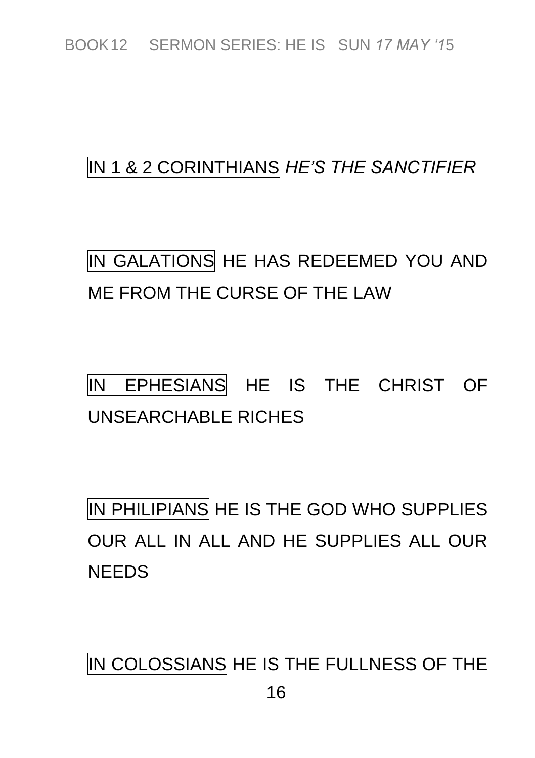#### *IN 1 & 2 CORINTHIANS HE'S THE SANCTIFIER*

### *IN GALATIONS HE HAS REDEEMED YOU AND ME FROM THE CURSE OF THE LAW*

## *IN EPHESIANS HE IS THE CHRIST OF UNSEARCHABLE RICHES*

*IN PHILIPIANS HE IS THE GOD WHO SUPPLIES OUR ALL IN ALL AND HE SUPPLIES ALL OUR NEEDS*

*IN COLOSSIANS HE IS THE FULLNESS OF THE*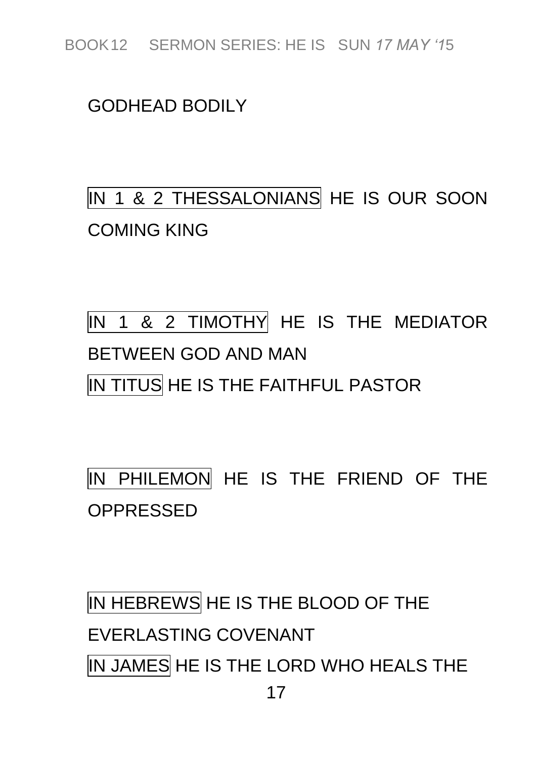#### *GODHEAD BODILY*

# *IN 1 & 2 THESSALONIANS HE IS OUR SOON COMING KING*

# *IN 1 & 2 TIMOTHY HE IS THE MEDIATOR BETWEEN GOD AND MAN IN TITUS HE IS THE FAITHFUL PASTOR*

*IN PHILEMON HE IS THE FRIEND OF THE OPPRESSED*

*17 IN HEBREWS HE IS THE BLOOD OF THE EVERLASTING COVENANT IN JAMES HE IS THE LORD WHO HEALS THE*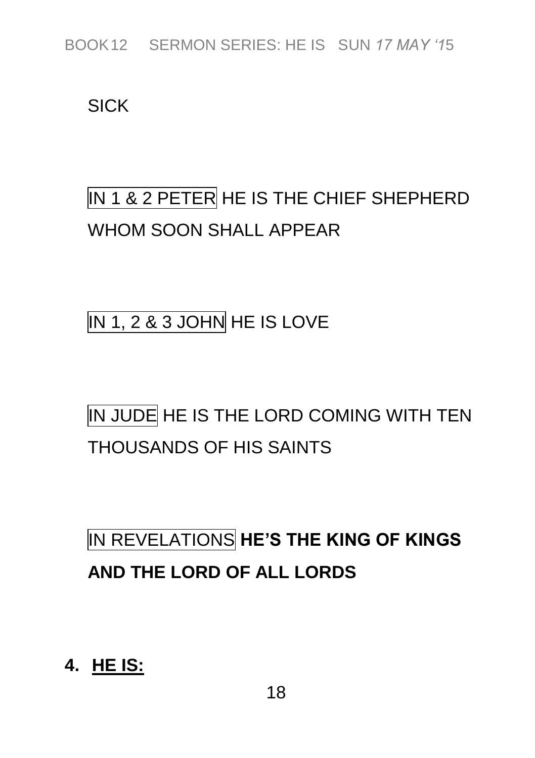*SICK*

## *IN 1 & 2 PETER HE IS THE CHIEF SHEPHERD WHOM SOON SHALL APPEAR*

*IN 1, 2 & 3 JOHN HE IS LOVE*

# *IN JUDE HE IS THE LORD COMING WITH TEN THOUSANDS OF HIS SAINTS*

# *IN REVELATIONS* **HE'S THE KING OF KINGS AND THE LORD OF ALL LORDS**

**4. HE IS:**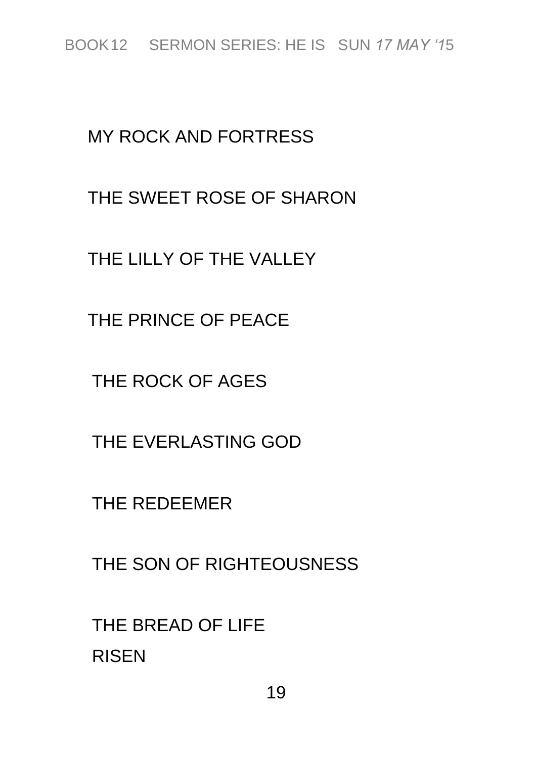#### *MY ROCK AND FORTRESS*

#### *THE SWEET ROSE OF SHARON*

*THE LILLY OF THE VALLEY*

*THE PRINCE OF PEACE*

*THE ROCK OF AGES*

*THE EVERLASTING GOD*

*THE REDEEMER*

*THE SON OF RIGHTEOUSNESS*

*THE BREAD OF LIFE RISEN*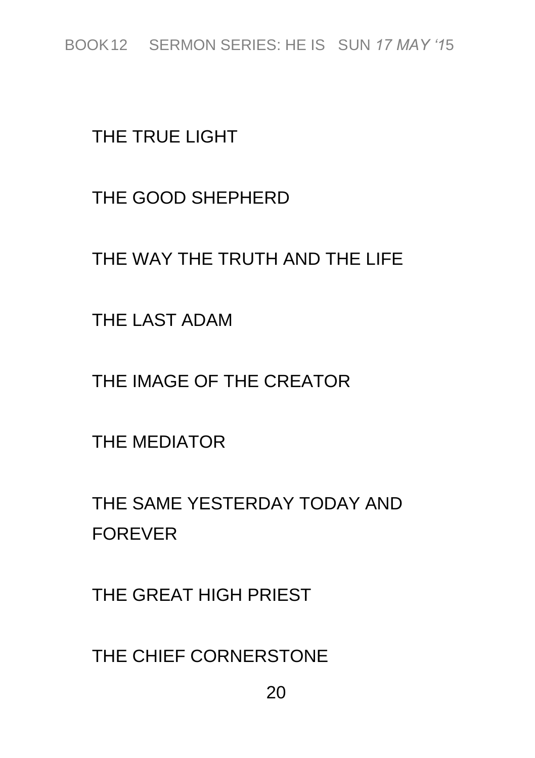*THE TRUE LIGHT*

*THE GOOD SHEPHERD*

*THE WAY THE TRUTH AND THE LIFE*

*THE LAST ADAM*

*THE IMAGE OF THE CREATOR*

*THE MEDIATOR*

*THE SAME YESTERDAY TODAY AND FOREVER*

*THE GREAT HIGH PRIEST*

*THE CHIEF CORNERSTONE*